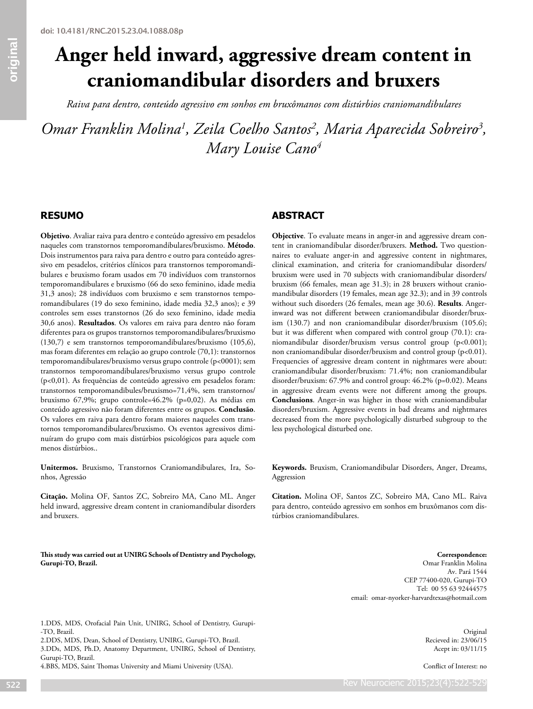# **Anger held inward, aggressive dream content in craniomandibular disorders and bruxers**

*Raiva para dentro, conteúdo agressivo em sonhos em bruxômanos com distúrbios craniomandibulares*

*Omar Franklin Molina1 , Zeila Coelho Santos2 , Maria Aparecida Sobreiro3 , Mary Louise Cano4*

# **RESUMO**

**Objetivo**. Avaliar raiva para dentro e conteúdo agressivo em pesadelos naqueles com transtornos temporomandibulares/bruxismo. **Método**. Dois instrumentos para raiva para dentro e outro para conteúdo agressivo em pesadelos, critérios clínicos para transtornos temporomandibulares e bruxismo foram usados em 70 indivíduos com transtornos temporomandibulares e bruxismo (66 do sexo feminino, idade media 31,3 anos); 28 indivíduos com bruxismo e sem transtornos temporomandibulares (19 do sexo feminino, idade media 32,3 anos); e 39 controles sem esses transtornos (26 do sexo feminino, idade media 30,6 anos). **Resultados**. Os valores em raiva para dentro não foram diferentes para os grupos transtornos temporomandibulares/bruxismo (130,7) e sem transtornos temporomandibulares/bruxismo (105,6), mas foram diferentes em relação ao grupo controle (70,1): transtornos temporomandibulares/bruxismo versus grupo controle (p<0001); sem transtornos temporomandibulares/bruxismo versus grupo controle (p<0,01). As frequências de conteúdo agressivo em pesadelos foram: transtornos temporomandibules/bruxismo=71,4%, sem transtornos/ bruxismo 67,9%; grupo controle=46.2% (p=0,02). As médias em conteúdo agressivo não foram diferentes entre os grupos. **Conclusão**. Os valores em raiva para dentro foram maiores naqueles com transtornos temporomandibulares/bruxismo. Os eventos agressivos diminuíram do grupo com mais distúrbios psicológicos para aquele com menos distúrbios..

**Unitermos.** Bruxismo, Transtornos Craniomandibulares, Ira, Sonhos, Agressão

**Citação.** Molina OF, Santos ZC, Sobreiro MA, Cano ML. Anger held inward, aggressive dream content in craniomandibular disorders and bruxers.

**This study was carried out at UNIRG Schools of Dentistry and Psychology, Gurupi-TO, Brazil.**

# **ABSTRACT**

**Objective**. To evaluate means in anger-in and aggressive dream content in craniomandibular disorder/bruxers. **Method.** Two questionnaires to evaluate anger-in and aggressive content in nightmares, clinical examination, and criteria for craniomandibular disorders/ bruxism were used in 70 subjects with craniomandibular disorders/ bruxism (66 females, mean age 31.3); in 28 bruxers without craniomandibular disorders (19 females, mean age 32.3); and in 39 controls without such disorders (26 females, mean age 30.6). **Results**. Angerinward was not different between craniomandibular disorder/bruxism (130.7) and non craniomandibular disorder/bruxism (105.6); but it was different when compared with control group (70.1): craniomandibular disorder/bruxism versus control group (p<0.001); non craniomandibular disorder/bruxism and control group (p<0.01). Frequencies of aggressive dream content in nightmares were about: craniomandibular disorder/bruxism: 71.4%; non craniomandibular disorder/bruxism: 67.9% and control group: 46.2% (p=0.02). Means in aggressive dream events were not different among the groups. **Conclusions**. Anger-in was higher in those with craniomandibular disorders/bruxism. Aggressive events in bad dreams and nightmares decreased from the more psychologically disturbed subgroup to the less psychological disturbed one.

**Keywords.** Bruxism, Craniomandibular Disorders, Anger, Dreams, Aggression

**Citation.** Molina OF, Santos ZC, Sobreiro MA, Cano ML. Raiva para dentro, conteúdo agressivo em sonhos em bruxômanos com distúrbios craniomandibulares.

> **Correspondence:** Omar Franklin Molina Av. Pará 1544 CEP 77400-020, Gurupi-TO Tel: 00 55 63 92444575 email: omar-nyorker-harvardtexas@hotmail.com

1.DDS, MDS, Orofacial Pain Unit, UNIRG, School of Dentistry, Gurupi- -TO, Brazil.

2.DDS, MDS, Dean, School of Dentistry, UNIRG, Gurupi-TO, Brazil. 3.DDs, MDS, Ph.D, Anatomy Department, UNIRG, School of Dentistry, Gurupi-TO, Brazil.

4.BBS, MDS, Saint Thomas University and Miami University (USA).

Original Recieved in: 23/06/15 Acept in: 03/11/15

Conflict of Interest: no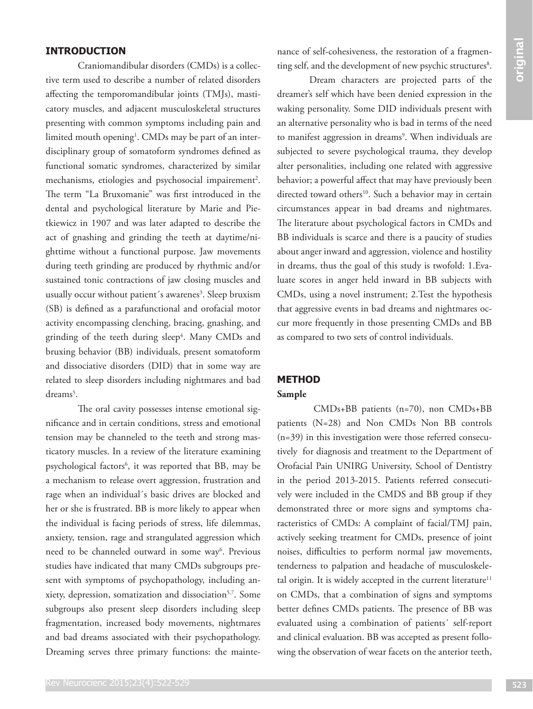# **INTRODUCTION**

**EFRODUCTION**<br> **EFRODUCTION**<br>
Consistent debte deselete (SMDs) is collected allowing the state and consistent allow the state and interaction in the state of consistent and interaction in the state of the state and intera Craniomandibular disorders (CMDs) is a collective term used to describe a number of related disorders affecting the temporomandibular joints (TMJs), masticatory muscles, and adjacent musculoskeletal structures presenting with common symptoms including pain and limited mouth opening<sup>1</sup>. CMDs may be part of an interdisciplinary group of somatoform syndromes defined as functional somatic syndromes, characterized by similar mechanisms, etiologies and psychosocial impairement<sup>2</sup>. The term "La Bruxomanie" was first introduced in the dental and psychological literature by Marie and Pietkiewicz in 1907 and was later adapted to describe the act of gnashing and grinding the teeth at daytime/nighttime without a functional purpose. Jaw movements during teeth grinding are produced by rhythmic and/or sustained tonic contractions of jaw closing muscles and usually occur without patient's awarenes<sup>3</sup>. Sleep bruxism (SB) is defined as a parafunctional and orofacial motor activity encompassing clenching, bracing, gnashing, and grinding of the teeth during sleep<sup>4</sup>. Many CMDs and bruxing behavior (BB) individuals, present somatoform and dissociative disorders (DID) that in some way are related to sleep disorders including nightmares and bad dreams<sup>5</sup>.

The oral cavity possesses intense emotional significance and in certain conditions, stress and emotional tension may be channeled to the teeth and strong masticatory muscles. In a review of the literature examining psychological factors<sup>6</sup>, it was reported that BB, may be a mechanism to release overt aggression, frustration and rage when an individual´s basic drives are blocked and her or she is frustrated. BB is more likely to appear when the individual is facing periods of stress, life dilemmas, anxiety, tension, rage and strangulated aggression which need to be channeled outward in some way<sup>6</sup>. Previous studies have indicated that many CMDs subgroups present with symptoms of psychopathology, including anxiety, depression, somatization and dissociation<sup>5,7</sup>. Some subgroups also present sleep disorders including sleep fragmentation, increased body movements, nightmares and bad dreams associated with their psychopathology. Dreaming serves three primary functions: the maintenance of self-cohesiveness, the restoration of a fragmenting self, and the development of new psychic structures<sup>8</sup>.

Dream characters are projected parts of the dreamer's self which have been denied expression in the waking personality. Some DID individuals present with an alternative personality who is bad in terms of the need to manifest aggression in dreams<sup>9</sup>. When individuals are subjected to severe psychological trauma, they develop alter personalities, including one related with aggressive behavior; a powerful affect that may have previously been directed toward others<sup>10</sup>. Such a behavior may in certain circumstances appear in bad dreams and nightmares. The literature about psychological factors in CMDs and BB individuals is scarce and there is a paucity of studies about anger inward and aggression, violence and hostility in dreams, thus the goal of this study is twofold: 1.Evaluate scores in anger held inward in BB subjects with CMDs, using a novel instrument; 2.Test the hypothesis that aggressive events in bad dreams and nightmares occur more frequently in those presenting CMDs and BB as compared to two sets of control individuals.

# **METHOD**

# **Sample**

 CMDs+BB patients (n=70), non CMDs+BB patients (N=28) and Non CMDs Non BB controls (n=39) in this investigation were those referred consecutively for diagnosis and treatment to the Department of Orofacial Pain UNIRG University, School of Dentistry in the period 2013-2015. Patients referred consecutively were included in the CMDS and BB group if they demonstrated three or more signs and symptoms characteristics of CMDs: A complaint of facial/TMJ pain, actively seeking treatment for CMDs, presence of joint noises, difficulties to perform normal jaw movements, tenderness to palpation and headache of musculoskeletal origin. It is widely accepted in the current literature $11$ on CMDs, that a combination of signs and symptoms better defines CMDs patients. The presence of BB was evaluated using a combination of patients´ self-report and clinical evaluation. BB was accepted as present following the observation of wear facets on the anterior teeth,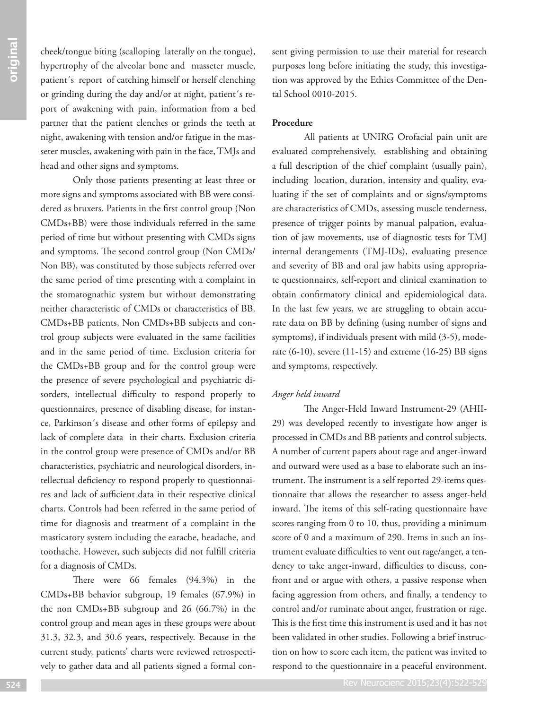cheek/tongue biting (scalloping laterally on the tongue), hypertrophy of the alveolar bone and masseter muscle, patient´s report of catching himself or herself clenching or grinding during the day and/or at night, patient´s report of awakening with pain, information from a bed partner that the patient clenches or grinds the teeth at night, awakening with tension and/or fatigue in the masseter muscles, awakening with pain in the face, TMJs and head and other signs and symptoms.

Only those patients presenting at least three or more signs and symptoms associated with BB were considered as bruxers. Patients in the first control group (Non CMDs+BB) were those individuals referred in the same period of time but without presenting with CMDs signs and symptoms. The second control group (Non CMDs/ Non BB), was constituted by those subjects referred over the same period of time presenting with a complaint in the stomatognathic system but without demonstrating neither characteristic of CMDs or characteristics of BB. CMDs+BB patients, Non CMDs+BB subjects and control group subjects were evaluated in the same facilities and in the same period of time. Exclusion criteria for the CMDs+BB group and for the control group were the presence of severe psychological and psychiatric disorders, intellectual difficulty to respond properly to questionnaires, presence of disabling disease, for instance, Parkinson´s disease and other forms of epilepsy and lack of complete data in their charts. Exclusion criteria in the control group were presence of CMDs and/or BB characteristics, psychiatric and neurological disorders, intellectual deficiency to respond properly to questionnaires and lack of sufficient data in their respective clinical charts. Controls had been referred in the same period of time for diagnosis and treatment of a complaint in the masticatory system including the earache, headache, and toothache. However, such subjects did not fulfill criteria for a diagnosis of CMDs.

There were 66 females (94.3%) in the CMDs+BB behavior subgroup, 19 females (67.9%) in the non CMDs+BB subgroup and 26 (66.7%) in the control group and mean ages in these groups were about 31.3, 32.3, and 30.6 years, respectively. Because in the current study, patients' charts were reviewed retrospectively to gather data and all patients signed a formal consent giving permission to use their material for research purposes long before initiating the study, this investigation was approved by the Ethics Committee of the Dental School 0010-2015.

# **Procedure**

All patients at UNIRG Orofacial pain unit are evaluated comprehensively, establishing and obtaining a full description of the chief complaint (usually pain), including location, duration, intensity and quality, evaluating if the set of complaints and or signs/symptoms are characteristics of CMDs, assessing muscle tenderness, presence of trigger points by manual palpation, evaluation of jaw movements, use of diagnostic tests for TMJ internal derangements (TMJ-IDs), evaluating presence and severity of BB and oral jaw habits using appropriate questionnaires, self-report and clinical examination to obtain confirmatory clinical and epidemiological data. In the last few years, we are struggling to obtain accurate data on BB by defining (using number of signs and symptoms), if individuals present with mild (3-5), moderate (6-10), severe (11-15) and extreme (16-25) BB signs and symptoms, respectively.

## *Anger held inward*

The Anger-Held Inward Instrument-29 (AHII-29) was developed recently to investigate how anger is processed in CMDs and BB patients and control subjects. A number of current papers about rage and anger-inward and outward were used as a base to elaborate such an instrument. The instrument is a self reported 29-items questionnaire that allows the researcher to assess anger-held inward. The items of this self-rating questionnaire have scores ranging from 0 to 10, thus, providing a minimum score of 0 and a maximum of 290. Items in such an instrument evaluate difficulties to vent out rage/anger, a tendency to take anger-inward, difficulties to discuss, confront and or argue with others, a passive response when facing aggression from others, and finally, a tendency to control and/or ruminate about anger, frustration or rage. This is the first time this instrument is used and it has not been validated in other studies. Following a brief instruction on how to score each item, the patient was invited to respond to the questionnaire in a peaceful environment.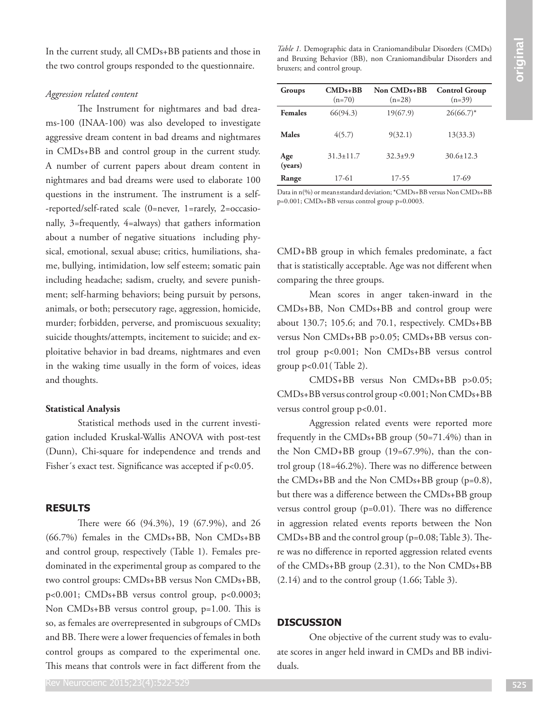In the current study, all CMDs+BB patients and those in the two control groups responded to the questionnaire.

#### *Aggression related content*

In the content analys all CMO-NB pattents in their Fair Comparison in these to entropy the pattent of the content of the content of the content of the content of the content of the content of the content of the content of The Instrument for nightmares and bad dreams-100 (INAA-100) was also developed to investigate aggressive dream content in bad dreams and nightmares in CMDs+BB and control group in the current study. A number of current papers about dream content in nightmares and bad dreams were used to elaborate 100 questions in the instrument. The instrument is a self- -reported/self-rated scale (0=never, 1=rarely, 2=occasionally, 3=frequently, 4=always) that gathers information about a number of negative situations including physical, emotional, sexual abuse; critics, humiliations, shame, bullying, intimidation, low self esteem; somatic pain including headache; sadism, cruelty, and severe punishment; self-harming behaviors; being pursuit by persons, animals, or both; persecutory rage, aggression, homicide, murder; forbidden, perverse, and promiscuous sexuality; suicide thoughts/attempts, incitement to suicide; and exploitative behavior in bad dreams, nightmares and even in the waking time usually in the form of voices, ideas and thoughts.

#### **Statistical Analysis**

Statistical methods used in the current investigation included Kruskal-Wallis ANOVA with post-test (Dunn), Chi-square for independence and trends and Fisher's exact test. Significance was accepted if  $p<0.05$ .

# **RESULTS**

There were 66 (94.3%), 19 (67.9%), and 26 (66.7%) females in the CMDs+BB, Non CMDs+BB and control group, respectively (Table 1). Females predominated in the experimental group as compared to the two control groups: CMDs+BB versus Non CMDs+BB, p<0.001; CMDs+BB versus control group, p<0.0003; Non CMDs+BB versus control group, p=1.00. This is so, as females are overrepresented in subgroups of CMDs and BB. There were a lower frequencies of females in both control groups as compared to the experimental one. This means that controls were in fact different from the

*Table 1.* Demographic data in Craniomandibular Disorders (CMDs) and Bruxing Behavior (BB), non Craniomandibular Disorders and bruxers; and control group.

| Groups         | $CMDs+BB$<br>$(n=70)$ | Non CMD <sub>s+</sub> BB<br>$(n=28)$ | <b>Control Group</b><br>$(n=39)$ |
|----------------|-----------------------|--------------------------------------|----------------------------------|
| <b>Females</b> | 66(94.3)              | 19(67.9)                             | $26(66.7)^*$                     |
| Males          | 4(5.7)                | 9(32.1)                              | 13(33.3)                         |
| Age<br>(years) | $31.3 \pm 11.7$       | $32.3 \pm 9.9$                       | $30.6 \pm 12.3$                  |
| Range          | 17-61                 | 17-55                                | 17-69                            |

Data in n(%) or mean±standard deviation; \*CMDs+BB versus Non CMDs+BB p=0.001; CMDs+BB versus control group p=0.0003.

CMD+BB group in which females predominate, a fact that is statistically acceptable. Age was not different when comparing the three groups.

Mean scores in anger taken-inward in the CMDs+BB, Non CMDs+BB and control group were about 130.7; 105.6; and 70.1, respectively. CMDs+BB versus Non CMDs+BB p>0.05; CMDs+BB versus control group p<0.001; Non CMDs+BB versus control group p<0.01( Table 2).

CMDS+BB versus Non CMDs+BB p>0.05; CMDs+BB versus control group <0.001; Non CMDs+BB versus control group p<0.01.

Aggression related events were reported more frequently in the CMDs+BB group (50=71.4%) than in the Non CMD+BB group (19=67.9%), than the control group (18=46.2%). There was no difference between the CMDs+BB and the Non CMDs+BB group (p=0.8), but there was a difference between the CMDs+BB group versus control group (p=0.01). There was no difference in aggression related events reports between the Non CMDs+BB and the control group (p=0.08; Table 3). There was no difference in reported aggression related events of the CMDs+BB group (2.31), to the Non CMDs+BB (2.14) and to the control group (1.66; Table 3).

# **DISCUSSION**

One objective of the current study was to evaluate scores in anger held inward in CMDs and BB individuals.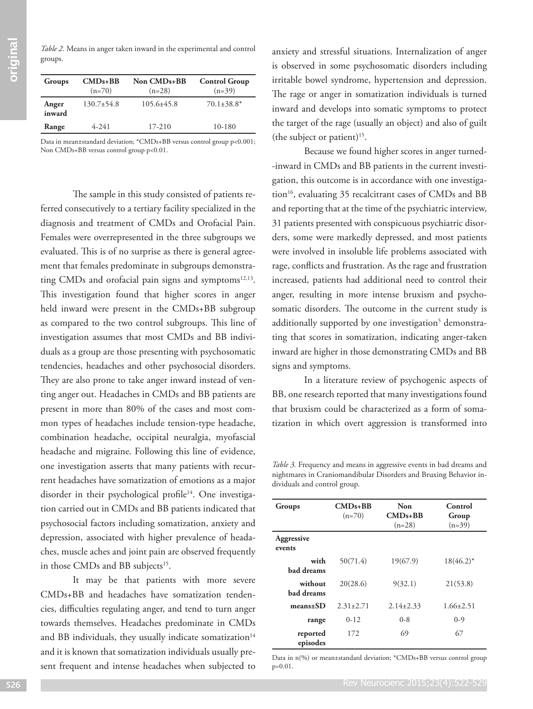*Table 2.* Means in anger taken inward in the experimental and control groups.

| Groups          | $CMDs$ +BB<br>$(n=70)$ | Non CMD <sub>s+</sub> BB<br>$(n=28)$ | <b>Control Group</b><br>$(n=39)$ |
|-----------------|------------------------|--------------------------------------|----------------------------------|
| Anger<br>inward | $130.7\pm54.8$         | $105.6\pm 45.8$                      | $70.1 \pm 38.8^*$                |
| Range           | $4 - 241$              | 17-210                               | 10-180                           |

Data in mean±standard deviation; \*CMDs+BB versus control group p<0.001; Non CMDs+BB versus control group p<0.01.

The sample in this study consisted of patients referred consecutively to a tertiary facility specialized in the diagnosis and treatment of CMDs and Orofacial Pain. Females were overrepresented in the three subgroups we evaluated. This is of no surprise as there is general agreement that females predominate in subgroups demonstrating CMDs and orofacial pain signs and symptoms<sup>12,13</sup>. This investigation found that higher scores in anger held inward were present in the CMDs+BB subgroup as compared to the two control subgroups. This line of investigation assumes that most CMDs and BB individuals as a group are those presenting with psychosomatic tendencies, headaches and other psychosocial disorders. They are also prone to take anger inward instead of venting anger out. Headaches in CMDs and BB patients are present in more than 80% of the cases and most common types of headaches include tension-type headache, combination headache, occipital neuralgia, myofascial headache and migraine. Following this line of evidence, one investigation asserts that many patients with recurrent headaches have somatization of emotions as a major disorder in their psychological profile<sup>14</sup>. One investigation carried out in CMDs and BB patients indicated that psychosocial factors including somatization, anxiety and depression, associated with higher prevalence of headaches, muscle aches and joint pain are observed frequently in those CMDs and BB subjects<sup>15</sup>.

It may be that patients with more severe CMDs+BB and headaches have somatization tendencies, difficulties regulating anger, and tend to turn anger towards themselves. Headaches predominate in CMDs and BB individuals, they usually indicate somatization $14$ and it is known that somatization individuals usually present frequent and intense headaches when subjected to anxiety and stressful situations. Internalization of anger is observed in some psychosomatic disorders including irritable bowel syndrome, hypertension and depression. The rage or anger in somatization individuals is turned inward and develops into somatic symptoms to protect the target of the rage (usually an object) and also of guilt (the subject or patient)<sup>15</sup>.

Because we found higher scores in anger turned- -inward in CMDs and BB patients in the current investigation, this outcome is in accordance with one investigation<sup>16</sup>, evaluating 35 recalcitrant cases of CMDs and BB and reporting that at the time of the psychiatric interview, 31 patients presented with conspicuous psychiatric disorders, some were markedly depressed, and most patients were involved in insoluble life problems associated with rage, conflicts and frustration. As the rage and frustration increased, patients had additional need to control their anger, resulting in more intense bruxism and psychosomatic disorders. The outcome in the current study is additionally supported by one investigation<sup>5</sup> demonstrating that scores in somatization, indicating anger-taken inward are higher in those demonstrating CMDs and BB signs and symptoms.

In a literature review of psychogenic aspects of BB, one research reported that many investigations found that bruxism could be characterized as a form of somatization in which overt aggression is transformed into

*Table 3.* Frequency and means in aggressive events in bad dreams and nightmares in Craniomandibular Disorders and Bruxing Behavior individuals and control group.

| Groups                       | $CMDs+BB$<br>$(n=70)$ | Non<br>$CMDs + BR$<br>$(n=28)$ | Control<br>Group<br>$(n=39)$ |
|------------------------------|-----------------------|--------------------------------|------------------------------|
| Aggressive<br>events         |                       |                                |                              |
| with<br>bad dreams           | 50(71.4)              | 19(67.9)                       | $18(46.2)^*$                 |
| without<br><b>bad dreams</b> | 20(28.6)              | 9(32.1)                        | 21(53.8)                     |
| $means \pm SD$               | $2.31 \pm 2.71$       | $2.14 \pm 2.33$                | $1.66 \pm 2.51$              |
| range                        | $0 - 12$              | $0 - 8$                        | $0 - 9$                      |
| reported<br>episodes         | 172                   | 69                             | 67                           |

Data in n(%) or mean±standard deviation; \*CMDs+BB versus control group p=0.01.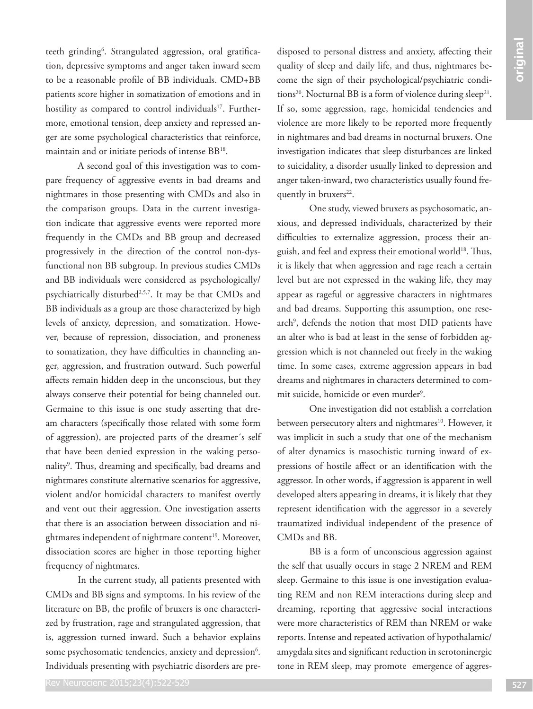teeth grinding<sup>6</sup>. Strangulated aggression, oral gratification, depressive symptoms and anger taken inward seem to be a reasonable profile of BB individuals. CMD+BB patients score higher in somatization of emotions and in hostility as compared to control individuals<sup>17</sup>. Furthermore, emotional tension, deep anxiety and repressed anger are some psychological characteristics that reinforce, maintain and or initiate periods of intense BB18.

πολεί διαμμα βασιμα τη επαντηγή. Διαμμα τη προσωπική πολειτική πολειτική πολειτική προσωπική προσωπική προσωπική προσωπική προσωπική προσωπική προσωπική προσωπική προσωπική προσωπική προσωπική προσωπική προσωπική προσω A second goal of this investigation was to compare frequency of aggressive events in bad dreams and nightmares in those presenting with CMDs and also in the comparison groups. Data in the current investigation indicate that aggressive events were reported more frequently in the CMDs and BB group and decreased progressively in the direction of the control non-dysfunctional non BB subgroup. In previous studies CMDs and BB individuals were considered as psychologically/ psychiatrically disturbed<sup>2,5,7</sup>. It may be that CMDs and BB individuals as a group are those characterized by high levels of anxiety, depression, and somatization. However, because of repression, dissociation, and proneness to somatization, they have difficulties in channeling anger, aggression, and frustration outward. Such powerful affects remain hidden deep in the unconscious, but they always conserve their potential for being channeled out. Germaine to this issue is one study asserting that dream characters (specifically those related with some form of aggression), are projected parts of the dreamer´s self that have been denied expression in the waking personality<sup>9</sup>. Thus, dreaming and specifically, bad dreams and nightmares constitute alternative scenarios for aggressive, violent and/or homicidal characters to manifest overtly and vent out their aggression. One investigation asserts that there is an association between dissociation and nightmares independent of nightmare content<sup>19</sup>. Moreover, dissociation scores are higher in those reporting higher frequency of nightmares.

In the current study, all patients presented with CMDs and BB signs and symptoms. In his review of the literature on BB, the profile of bruxers is one characterized by frustration, rage and strangulated aggression, that is, aggression turned inward. Such a behavior explains some psychosomatic tendencies, anxiety and depression<sup>6</sup>. Individuals presenting with psychiatric disorders are predisposed to personal distress and anxiety, affecting their quality of sleep and daily life, and thus, nightmares become the sign of their psychological/psychiatric conditions<sup>20</sup>. Nocturnal BB is a form of violence during sleep<sup>21</sup>. If so, some aggression, rage, homicidal tendencies and violence are more likely to be reported more frequently in nightmares and bad dreams in nocturnal bruxers. One investigation indicates that sleep disturbances are linked to suicidality, a disorder usually linked to depression and anger taken-inward, two characteristics usually found frequently in bruxers<sup>22</sup>.

One study, viewed bruxers as psychosomatic, anxious, and depressed individuals, characterized by their difficulties to externalize aggression, process their anguish, and feel and express their emotional world<sup>18</sup>. Thus, it is likely that when aggression and rage reach a certain level but are not expressed in the waking life, they may appear as rageful or aggressive characters in nightmares and bad dreams. Supporting this assumption, one research<sup>9</sup>, defends the notion that most DID patients have an alter who is bad at least in the sense of forbidden aggression which is not channeled out freely in the waking time. In some cases, extreme aggression appears in bad dreams and nightmares in characters determined to commit suicide, homicide or even murder<sup>9</sup>.

One investigation did not establish a correlation between persecutory alters and nightmares<sup>10</sup>. However, it was implicit in such a study that one of the mechanism of alter dynamics is masochistic turning inward of expressions of hostile affect or an identification with the aggressor. In other words, if aggression is apparent in well developed alters appearing in dreams, it is likely that they represent identification with the aggressor in a severely traumatized individual independent of the presence of CMDs and BB.

BB is a form of unconscious aggression against the self that usually occurs in stage 2 NREM and REM sleep. Germaine to this issue is one investigation evaluating REM and non REM interactions during sleep and dreaming, reporting that aggressive social interactions were more characteristics of REM than NREM or wake reports. Intense and repeated activation of hypothalamic/ amygdala sites and significant reduction in serotoninergic tone in REM sleep, may promote emergence of aggres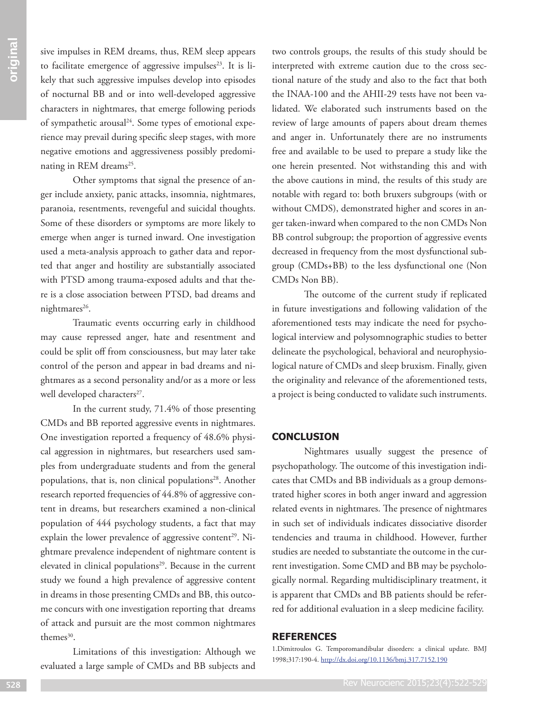sive impulses in REM dreams, thus, REM sleep appears to facilitate emergence of aggressive impulses<sup>23</sup>. It is likely that such aggressive impulses develop into episodes of nocturnal BB and or into well-developed aggressive characters in nightmares, that emerge following periods of sympathetic arousal<sup>24</sup>. Some types of emotional experience may prevail during specific sleep stages, with more negative emotions and aggressiveness possibly predominating in REM dreams<sup>25</sup>.

Other symptoms that signal the presence of anger include anxiety, panic attacks, insomnia, nightmares, paranoia, resentments, revengeful and suicidal thoughts. Some of these disorders or symptoms are more likely to emerge when anger is turned inward. One investigation used a meta-analysis approach to gather data and reported that anger and hostility are substantially associated with PTSD among trauma-exposed adults and that there is a close association between PTSD, bad dreams and nightmares<sup>26</sup>.

Traumatic events occurring early in childhood may cause repressed anger, hate and resentment and could be split off from consciousness, but may later take control of the person and appear in bad dreams and nightmares as a second personality and/or as a more or less well developed characters<sup>27</sup>.

In the current study, 71.4% of those presenting CMDs and BB reported aggressive events in nightmares. One investigation reported a frequency of 48.6% physical aggression in nightmares, but researchers used samples from undergraduate students and from the general populations, that is, non clinical populations<sup>28</sup>. Another research reported frequencies of 44.8% of aggressive content in dreams, but researchers examined a non-clinical population of 444 psychology students, a fact that may explain the lower prevalence of aggressive content<sup>29</sup>. Nightmare prevalence independent of nightmare content is elevated in clinical populations<sup>29</sup>. Because in the current study we found a high prevalence of aggressive content in dreams in those presenting CMDs and BB, this outcome concurs with one investigation reporting that dreams of attack and pursuit are the most common nightmares themes<sup>30</sup>.

Limitations of this investigation: Although we evaluated a large sample of CMDs and BB subjects and two controls groups, the results of this study should be interpreted with extreme caution due to the cross sectional nature of the study and also to the fact that both the INAA-100 and the AHII-29 tests have not been validated. We elaborated such instruments based on the review of large amounts of papers about dream themes and anger in. Unfortunately there are no instruments free and available to be used to prepare a study like the one herein presented. Not withstanding this and with the above cautions in mind, the results of this study are notable with regard to: both bruxers subgroups (with or without CMDS), demonstrated higher and scores in anger taken-inward when compared to the non CMDs Non BB control subgroup; the proportion of aggressive events decreased in frequency from the most dysfunctional subgroup (CMDs+BB) to the less dysfunctional one (Non CMDs Non BB).

The outcome of the current study if replicated in future investigations and following validation of the aforementioned tests may indicate the need for psychological interview and polysomnographic studies to better delineate the psychological, behavioral and neurophysiological nature of CMDs and sleep bruxism. Finally, given the originality and relevance of the aforementioned tests, a project is being conducted to validate such instruments.

# **CONCLUSION**

Nightmares usually suggest the presence of psychopathology. The outcome of this investigation indicates that CMDs and BB individuals as a group demonstrated higher scores in both anger inward and aggression related events in nightmares. The presence of nightmares in such set of individuals indicates dissociative disorder tendencies and trauma in childhood. However, further studies are needed to substantiate the outcome in the current investigation. Some CMD and BB may be psychologically normal. Regarding multidisciplinary treatment, it is apparent that CMDs and BB patients should be referred for additional evaluation in a sleep medicine facility.

## **REFERENCES**

1.Dimitroulos G. Temporomandibular disorders: a clinical update. BMJ 1998;317:190-4. http://dx.doi.org/10.1136/bmj.317.7152.190